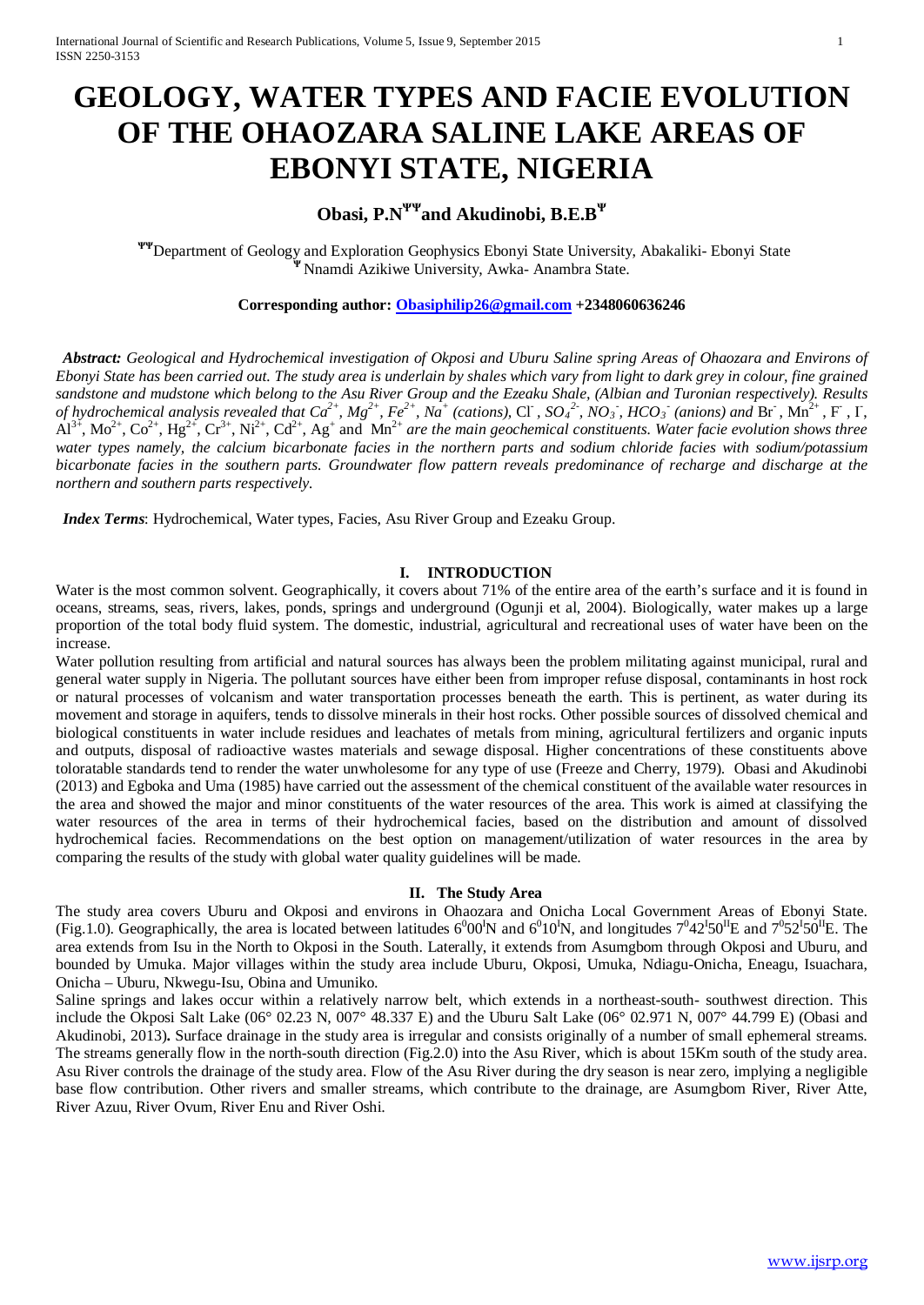# **GEOLOGY, WATER TYPES AND FACIE EVOLUTION OF THE OHAOZARA SALINE LAKE AREAS OF EBONYI STATE, NIGERIA**

# **Obasi, P.NΨΨand Akudinobi, B.E.B<sup>Ψ</sup>**

 **ΨΨ**Department of Geology and Exploration Geophysics Ebonyi State University, Abakaliki- Ebonyi State **<sup>Ψ</sup>**Nnamdi Azikiwe University, Awka- Anambra State.

# **Corresponding author: [Obasiphilip26@gmail.com](mailto:Obasiphilip26@gmail.com) +2348060636246**

*Abstract: Geological and Hydrochemical investigation of Okposi and Uburu Saline spring Areas of Ohaozara and Environs of Ebonyi State has been carried out. The study area is underlain by shales which vary from light to dark grey in colour, fine grained sandstone and mudstone which belong to the Asu River Group and the Ezeaku Shale, (Albian and Turonian respectively). Results*  of hydrochemical analysis revealed that  $Ca^{2+}$ ,  $Mg^{2+}$ ,  $Fe^{2+}$ ,  $Na^{+}$  (cations), Cl ,  $SO_4^2$ ,  $NO_3$ ,  $HCO_3$  (anions) and Br ,  $Mn^{2+}$ , F , I,  $A1^{3+}$ ,  $Mo^{2+}$ ,  $Co^{2+}$ ,  $Hg^{2+}$ ,  $Cr^{3+}$ ,  $Ni^{2+}$ ,  $Cd^{2+}$ ,  $Ag^{+}$  and  $Mn^{2+}$  *are the main geochemical constituents. Water facie evolution shows three water types namely, the calcium bicarbonate facies in the northern parts and sodium chloride facies with sodium/potassium bicarbonate facies in the southern parts. Groundwater flow pattern reveals predominance of recharge and discharge at the northern and southern parts respectively.*

*Index Terms*: Hydrochemical, Water types, Facies, Asu River Group and Ezeaku Group.

# **I. INTRODUCTION**

Water is the most common solvent. Geographically, it covers about 71% of the entire area of the earth's surface and it is found in oceans, streams, seas, rivers, lakes, ponds, springs and underground (Ogunji et al, 2004). Biologically, water makes up a large proportion of the total body fluid system. The domestic, industrial, agricultural and recreational uses of water have been on the increase.

Water pollution resulting from artificial and natural sources has always been the problem militating against municipal, rural and general water supply in Nigeria. The pollutant sources have either been from improper refuse disposal, contaminants in host rock or natural processes of volcanism and water transportation processes beneath the earth. This is pertinent, as water during its movement and storage in aquifers, tends to dissolve minerals in their host rocks. Other possible sources of dissolved chemical and biological constituents in water include residues and leachates of metals from mining, agricultural fertilizers and organic inputs and outputs, disposal of radioactive wastes materials and sewage disposal. Higher concentrations of these constituents above toloratable standards tend to render the water unwholesome for any type of use (Freeze and Cherry, 1979). Obasi and Akudinobi (2013) and Egboka and Uma (1985) have carried out the assessment of the chemical constituent of the available water resources in the area and showed the major and minor constituents of the water resources of the area. This work is aimed at classifying the water resources of the area in terms of their hydrochemical facies, based on the distribution and amount of dissolved hydrochemical facies. Recommendations on the best option on management/utilization of water resources in the area by comparing the results of the study with global water quality guidelines will be made.

### **II. The Study Area**

The study area covers Uburu and Okposi and environs in Ohaozara and Onicha Local Government Areas of Ebonyi State. (Fig.1.0). Geographically, the area is located between latitudes  $6^000^1$ N and  $6^010^1$ N, and longitudes  $7^042^150^1$ E and  $7^052^150^1$ E. The area extends from Isu in the North to Okposi in the South. Laterally, it extends from Asumgbom through Okposi and Uburu, and bounded by Umuka. Major villages within the study area include Uburu, Okposi, Umuka, Ndiagu-Onicha, Eneagu, Isuachara, Onicha – Uburu, Nkwegu-Isu, Obina and Umuniko.

Saline springs and lakes occur within a relatively narrow belt, which extends in a northeast-south- southwest direction. This include the Okposi Salt Lake (06° 02.23 N, 007° 48.337 E) and the Uburu Salt Lake (06° 02.971 N, 007° 44.799 E) (Obasi and Akudinobi, 2013)**.** Surface drainage in the study area is irregular and consists originally of a number of small ephemeral streams. The streams generally flow in the north-south direction (Fig.2.0) into the Asu River, which is about 15Km south of the study area. Asu River controls the drainage of the study area. Flow of the Asu River during the dry season is near zero, implying a negligible base flow contribution. Other rivers and smaller streams, which contribute to the drainage, are Asumgbom River, River Atte, River Azuu, River Ovum, River Enu and River Oshi.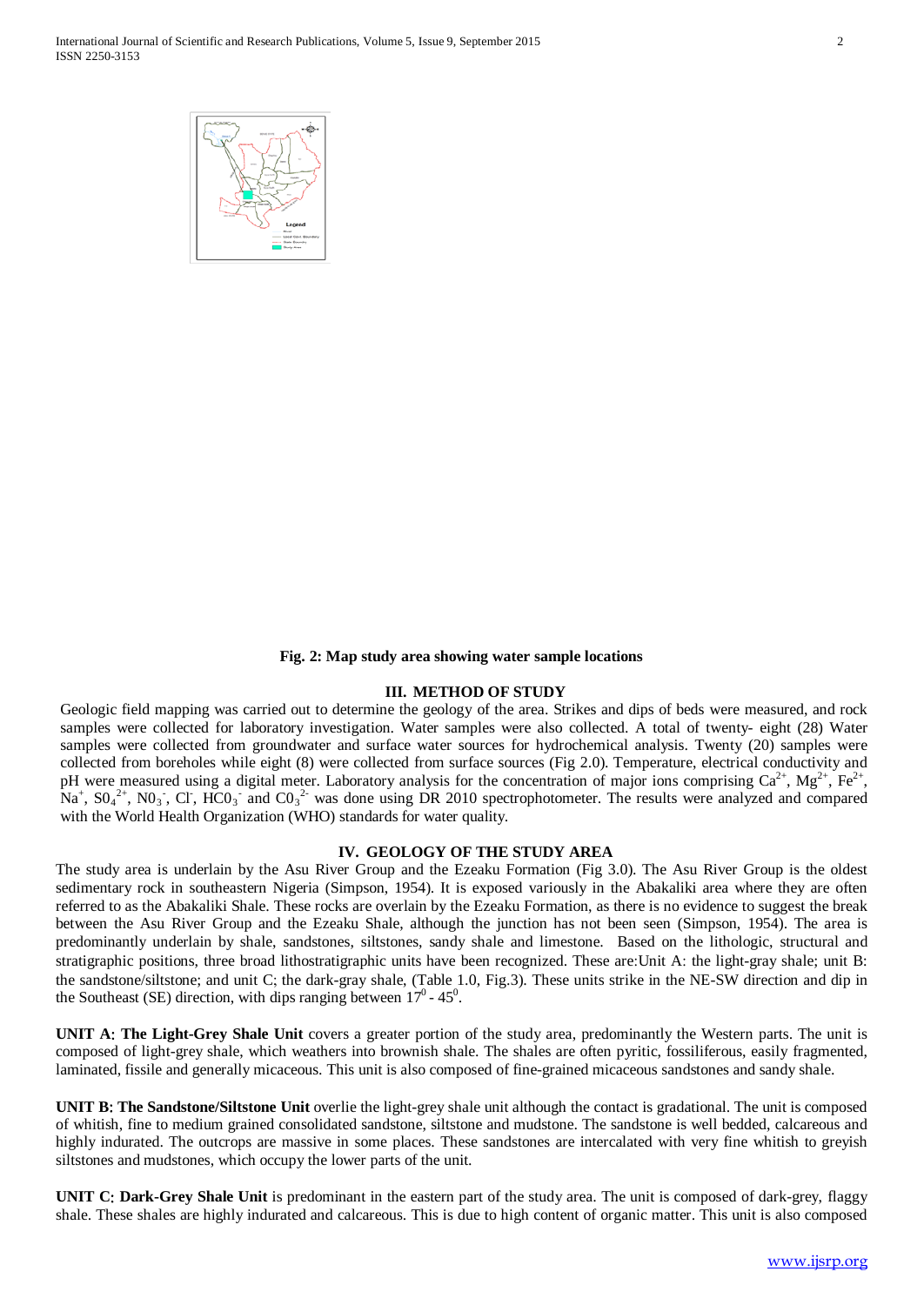International Journal of Scientific and Research Publications, Volume 5, Issue 9, September 2015 2 ISSN 2250-3153



#### **Fig. 2: Map study area showing water sample locations**

# **III. METHOD OF STUDY**

Geologic field mapping was carried out to determine the geology of the area. Strikes and dips of beds were measured, and rock samples were collected for laboratory investigation. Water samples were also collected. A total of twenty- eight (28) Water samples were collected from groundwater and surface water sources for hydrochemical analysis. Twenty (20) samples were collected from boreholes while eight (8) were collected from surface sources (Fig 2.0). Temperature, electrical conductivity and pH were measured using a digital meter. Laboratory analysis for the concentration of major ions comprising  $Ca^{2+}$ ,  $Mg^{2+}$ ,  $Fe^{2+}$ ,  $Na<sup>+</sup>, SO<sub>4</sub><sup>2+</sup>, NO<sub>3</sub>$ , Cl, HCO<sub>3</sub><sup>-</sup> and CO<sub>3</sub><sup>2</sup>- was done using DR 2010 spectrophotometer. The results were analyzed and compared with the World Health Organization (WHO) standards for water quality.

#### **IV. GEOLOGY OF THE STUDY AREA**

The study area is underlain by the Asu River Group and the Ezeaku Formation (Fig 3.0). The Asu River Group is the oldest sedimentary rock in southeastern Nigeria (Simpson, 1954). It is exposed variously in the Abakaliki area where they are often referred to as the Abakaliki Shale. These rocks are overlain by the Ezeaku Formation, as there is no evidence to suggest the break between the Asu River Group and the Ezeaku Shale, although the junction has not been seen (Simpson, 1954). The area is predominantly underlain by shale, sandstones, siltstones, sandy shale and limestone. Based on the lithologic, structural and stratigraphic positions, three broad lithostratigraphic units have been recognized. These are:Unit A: the light-gray shale; unit B: the sandstone/siltstone; and unit C; the dark-gray shale, (Table 1.0, Fig.3). These units strike in the NE-SW direction and dip in the Southeast (SE) direction, with dips ranging between  $17^0$  -  $45^0$ .

**UNIT A**: **The Light-Grey Shale Unit** covers a greater portion of the study area, predominantly the Western parts. The unit is composed of light-grey shale, which weathers into brownish shale. The shales are often pyritic, fossiliferous, easily fragmented, laminated, fissile and generally micaceous. This unit is also composed of fine-grained micaceous sandstones and sandy shale.

**UNIT B**: **The Sandstone/Siltstone Unit** overlie the light-grey shale unit although the contact is gradational. The unit is composed of whitish, fine to medium grained consolidated sandstone, siltstone and mudstone. The sandstone is well bedded, calcareous and highly indurated. The outcrops are massive in some places. These sandstones are intercalated with very fine whitish to greyish siltstones and mudstones, which occupy the lower parts of the unit.

**UNIT C**: **Dark-Grey Shale Unit** is predominant in the eastern part of the study area. The unit is composed of dark-grey, flaggy shale. These shales are highly indurated and calcareous. This is due to high content of organic matter. This unit is also composed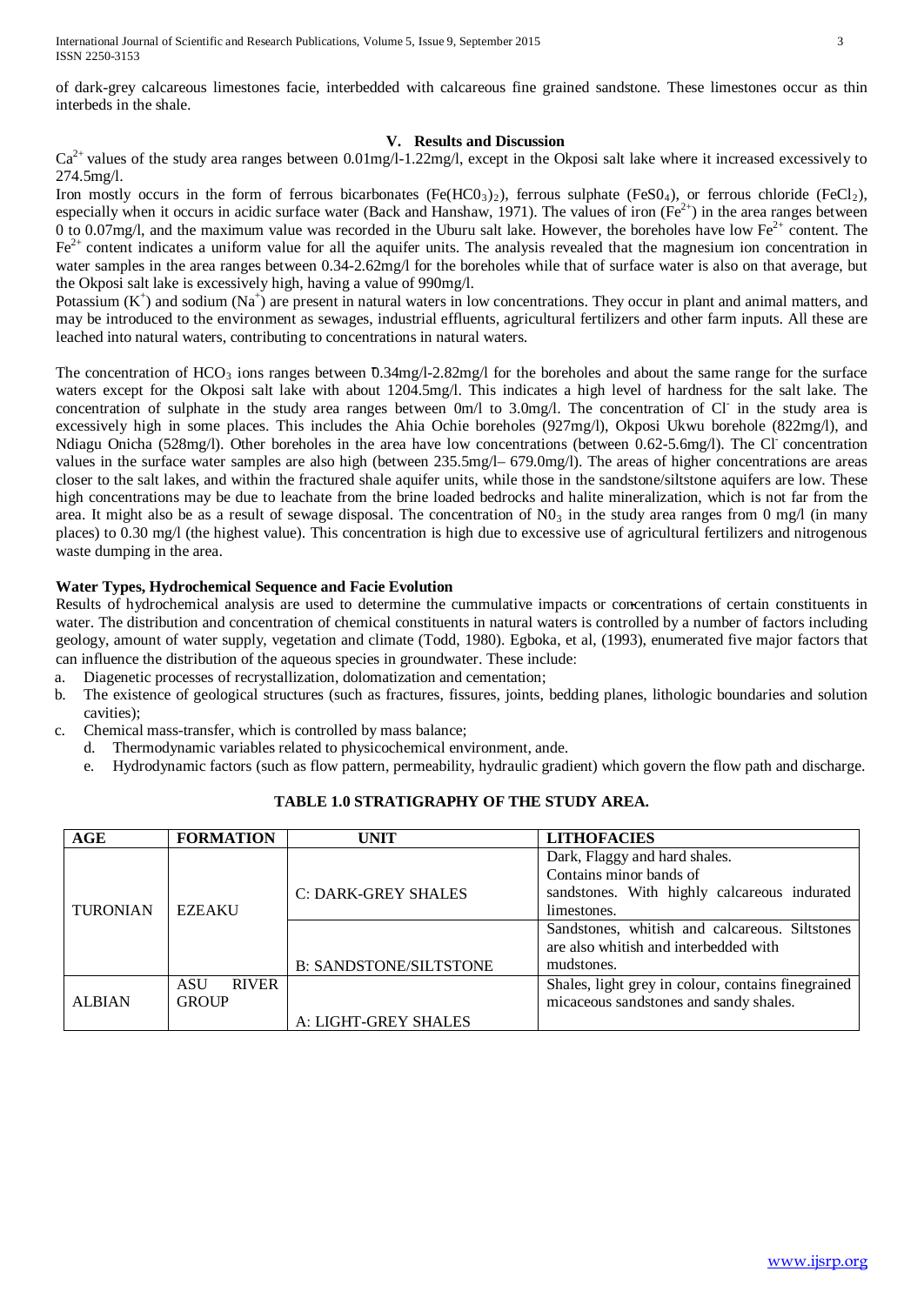of dark-grey calcareous limestones facie, interbedded with calcareous fine grained sandstone. These limestones occur as thin interbeds in the shale.

# **V. Results and Discussion**

 $Ca<sup>2+</sup>$  values of the study area ranges between 0.01mg/l-1.22mg/l, except in the Okposi salt lake where it increased excessively to 274.5mg/l.

Iron mostly occurs in the form of ferrous bicarbonates (Fe(HCO<sub>3</sub>)<sub>2</sub>), ferrous sulphate (FeSO<sub>4</sub>), or ferrous chloride (FeCl<sub>2</sub>), especially when it occurs in acidic surface water (Back and Hanshaw, 1971). The values of iron ( $Fe<sup>2+</sup>$ ) in the area ranges between 0 to 0.07mg/l, and the maximum value was recorded in the Uburu salt lake. However, the boreholes have low  $Fe<sup>2+</sup>$  content. The  $Fe<sup>2+</sup>$  content indicates a uniform value for all the aquifer units. The analysis revealed that the magnesium ion concentration in water samples in the area ranges between 0.34-2.62mg/l for the boreholes while that of surface water is also on that average, but the Okposi salt lake is excessively high, having a value of 990mg/l.

Potassium  $(K^+)$  and sodium  $(Na^+)$  are present in natural waters in low concentrations. They occur in plant and animal matters, and may be introduced to the environment as sewages, industrial effluents, agricultural fertilizers and other farm inputs. All these are leached into natural waters, contributing to concentrations in natural waters.

The concentration of  $HCO_3$  ions ranges between 0.34mg/l-2.82mg/l for the boreholes and about the same range for the surface waters except for the Okposi salt lake with about 1204.5mg/l. This indicates a high level of hardness for the salt lake. The concentration of sulphate in the study area ranges between  $0m/l$  to 3.0mg/l. The concentration of Cl in the study area is excessively high in some places. This includes the Ahia Ochie boreholes (927mg/l), Okposi Ukwu borehole (822mg/l), and Ndiagu Onicha (528mg/l). Other boreholes in the area have low concentrations (between 0.62-5.6mg/l). The Cl concentration values in the surface water samples are also high (between 235.5mg/l– 679.0mg/l). The areas of higher concentrations are areas closer to the salt lakes, and within the fractured shale aquifer units, while those in the sandstone/siltstone aquifers are low. These high concentrations may be due to leachate from the brine loaded bedrocks and halite mineralization, which is not far from the area. It might also be as a result of sewage disposal. The concentration of  $N0<sub>3</sub>$  in the study area ranges from 0 mg/l (in many places) to 0.30 mg/l (the highest value). This concentration is high due to excessive use of agricultural fertilizers and nitrogenous waste dumping in the area.

# **Water Types, Hydrochemical Sequence and Facie Evolution**

Results of hydrochemical analysis are used to determine the cummulative impacts or concentrations of certain constituents in water. The distribution and concentration of chemical constituents in natural waters is controlled by a number of factors including geology, amount of water supply, vegetation and climate (Todd, 1980). Egboka, et al, (1993), enumerated five major factors that can influence the distribution of the aqueous species in groundwater. These include:

- a. Diagenetic processes of recrystallization, dolomatization and cementation;
- b. The existence of geological structures (such as fractures, fissures, joints, bedding planes, lithologic boundaries and solution cavities);
- c. Chemical mass-transfer, which is controlled by mass balance;
	- d. Thermodynamic variables related to physicochemical environment, ande.
		- e. Hydrodynamic factors (such as flow pattern, permeability, hydraulic gradient) which govern the flow path and discharge.

| AGE             | <b>FORMATION</b>           | UNIT                          | <b>LITHOFACIES</b>                                 |  |  |
|-----------------|----------------------------|-------------------------------|----------------------------------------------------|--|--|
|                 |                            |                               | Dark, Flaggy and hard shales.                      |  |  |
| <b>TURONIAN</b> |                            |                               | Contains minor bands of                            |  |  |
|                 |                            | C: DARK-GREY SHALES           | sandstones. With highly calcareous indurated       |  |  |
|                 | <b>EZEAKU</b>              |                               | limestones.                                        |  |  |
|                 |                            |                               | Sandstones, whitish and calcareous. Siltstones     |  |  |
|                 |                            |                               | are also whitish and interbedded with              |  |  |
|                 |                            | <b>B: SANDSTONE/SILTSTONE</b> | mudstones.                                         |  |  |
|                 | <b>ASU</b><br><b>RIVER</b> |                               | Shales, light grey in colour, contains finegrained |  |  |
| <b>ALBIAN</b>   | <b>GROUP</b>               |                               | micaceous sandstones and sandy shales.             |  |  |
|                 |                            | A: LIGHT-GREY SHALES          |                                                    |  |  |

# **TABLE 1.0 STRATIGRAPHY OF THE STUDY AREA.**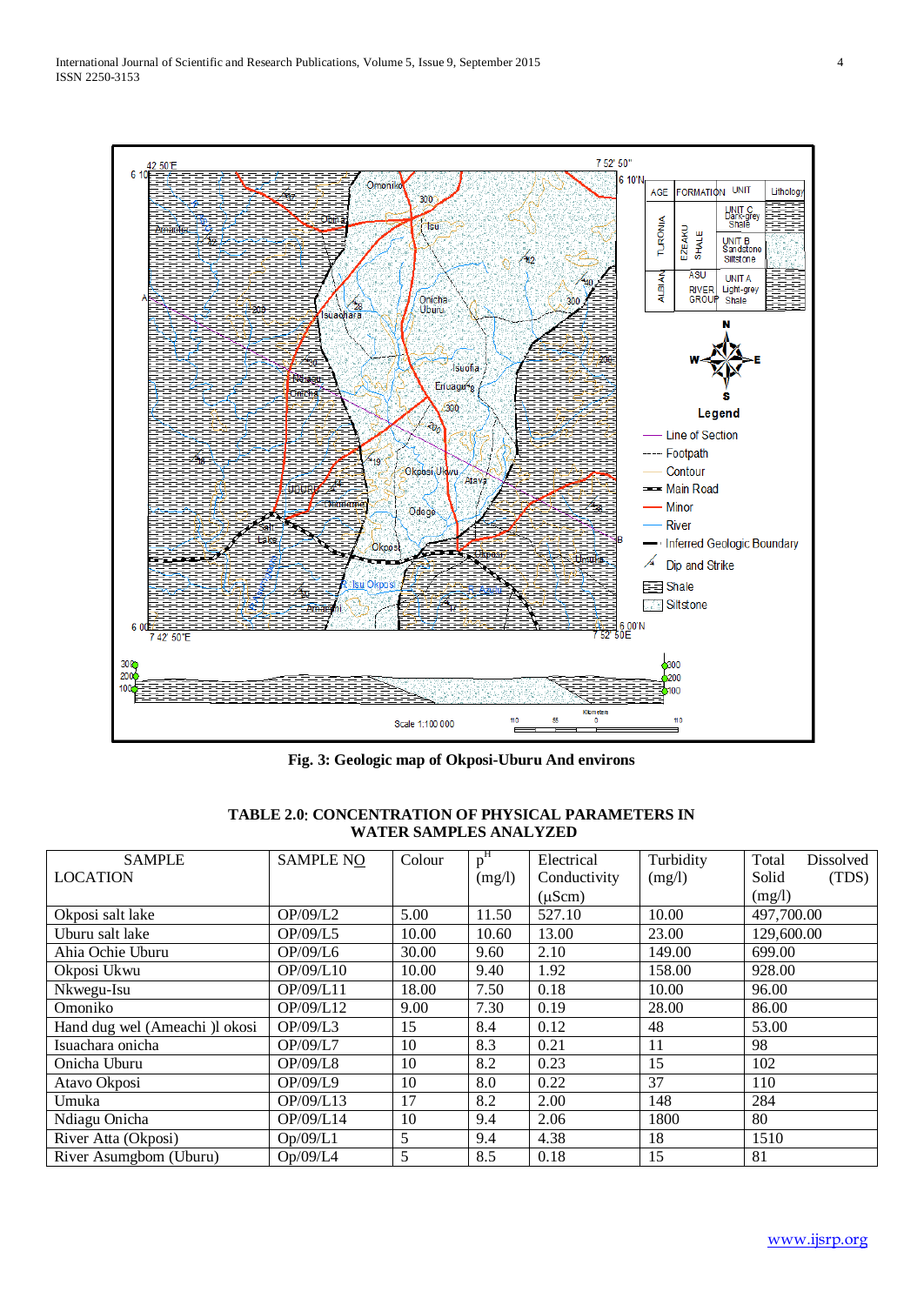

**Fig. 3: Geologic map of Okposi-Uburu And environs**

| <b>SAMPLE</b>                  | <b>SAMPLE NO</b> | Colour | p <sup>H</sup> | Electrical         | Turbidity | Total<br>Dissolved |
|--------------------------------|------------------|--------|----------------|--------------------|-----------|--------------------|
| <b>LOCATION</b>                |                  |        | (mg/l)         | Conductivity       | (mg/l)    | Solid<br>(TDS)     |
|                                |                  |        |                | $(\mu \text{Scm})$ |           | (mg/l)             |
| Okposi salt lake               | OP/09/L2         | 5.00   | 11.50          | 527.10             | 10.00     | 497,700.00         |
| Uburu salt lake                | OP/09/L5         | 10.00  | 10.60          | 13.00              | 23.00     | 129,600.00         |
| Ahia Ochie Uburu               | OP/09/L6         | 30.00  | 9.60           | 2.10               | 149.00    | 699.00             |
| Okposi Ukwu                    | OP/09/L10        | 10.00  | 9.40           | 1.92               | 158.00    | 928.00             |
| Nkwegu-Isu                     | OP/09/L11        | 18.00  | 7.50           | 0.18               | 10.00     | 96.00              |
| Omoniko                        | OP/09/L12        | 9.00   | 7.30           | 0.19               | 28.00     | 86.00              |
| Hand dug wel (Ameachi )l okosi | OP/09/L3         | 15     | 8.4            | 0.12               | 48        | 53.00              |
| Isuachara onicha               | OP/09/L7         | 10     | 8.3            | 0.21               | 11        | 98                 |
| Onicha Uburu                   | OP/09/L8         | 10     | 8.2            | 0.23               | 15        | 102                |
| Atavo Okposi                   | OP/09/L9         | 10     | 8.0            | 0.22               | 37        | 110                |
| Umuka                          | OP/09/L13        | 17     | 8.2            | 2.00               | 148       | 284                |
| Ndiagu Onicha                  | OP/09/L14        | 10     | 9.4            | 2.06               | 1800      | 80                 |
| River Atta (Okposi)            | Op/09/L1         | 5      | 9.4            | 4.38               | 18        | 1510               |
| River Asumgbom (Uburu)         | Op/09/L4         | 5      | 8.5            | 0.18               | 15        | 81                 |

# **TABLE 2.0**: **CONCENTRATION OF PHYSICAL PARAMETERS IN WATER SAMPLES ANALYZED**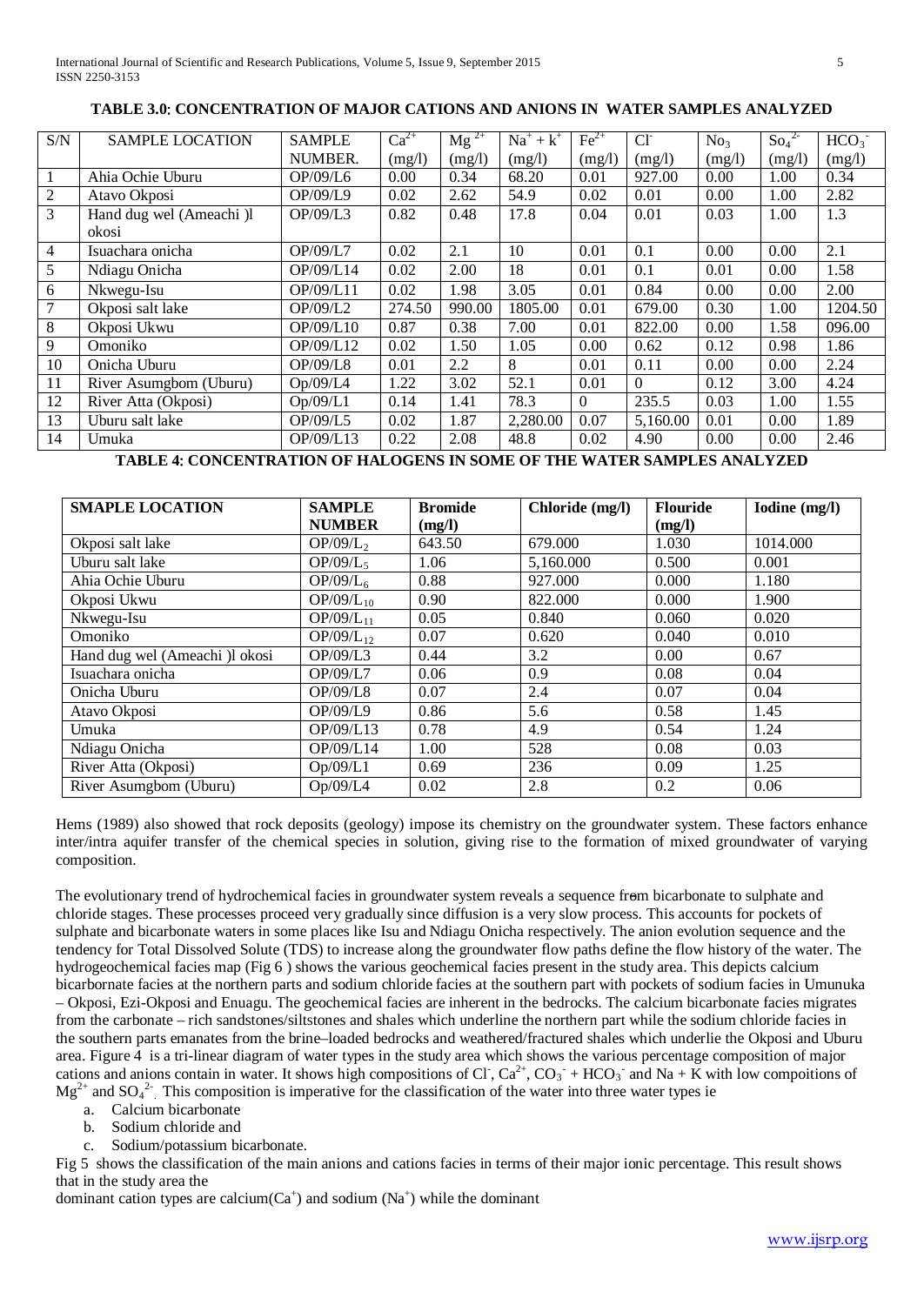# **TABLE 3.0**: **CONCENTRATION OF MAJOR CATIONS AND ANIONS IN WATER SAMPLES ANALYZED**

| S/N            | <b>SAMPLE LOCATION</b>   | <b>SAMPLE</b> | $Ca^{2+}$ | $\text{Mg}^{2+}$ | $Na^+ + k^+$ | $Fe2+$   | CI <sub>1</sub> | No <sub>3</sub> | $\text{So}_4^2$ | HCO <sub>3</sub> |
|----------------|--------------------------|---------------|-----------|------------------|--------------|----------|-----------------|-----------------|-----------------|------------------|
|                |                          | NUMBER.       | (mg/l)    | (mg/l)           | (mg/l)       | (mg/l)   | (mg/l)          | (mg/l)          | (mg/l)          | (mg/l)           |
|                | Ahia Ochie Uburu         | OP/09/L6      | 0.00      | 0.34             | 68.20        | 0.01     | 927.00          | 0.00            | 1.00            | 0.34             |
| 2              | Atavo Okposi             | OP/09/L9      | 0.02      | 2.62             | 54.9         | 0.02     | 0.01            | 0.00            | 1.00            | 2.82             |
| 3              | Hand dug wel (Ameachi )l | OP/09/L3      | 0.82      | 0.48             | 17.8         | 0.04     | 0.01            | 0.03            | 1.00            | 1.3              |
|                | okosi                    |               |           |                  |              |          |                 |                 |                 |                  |
| $\overline{4}$ | Isuachara onicha         | OP/09/L7      | 0.02      | 2.1              | 10           | 0.01     | 0.1             | 0.00            | 0.00            | 2.1              |
| 5              | Ndiagu Onicha            | OP/09/L14     | 0.02      | 2.00             | 18           | 0.01     | 0.1             | 0.01            | 0.00            | 1.58             |
| 6              | Nkwegu-Isu               | OP/09/L11     | 0.02      | 1.98             | 3.05         | 0.01     | 0.84            | 0.00            | 0.00            | 2.00             |
| $\overline{7}$ | Okposi salt lake         | OP/09/L2      | 274.50    | 990.00           | 1805.00      | 0.01     | 679.00          | 0.30            | 1.00            | 1204.50          |
| 8              | Okposi Ukwu              | OP/09/L10     | 0.87      | 0.38             | 7.00         | 0.01     | 822.00          | 0.00            | 1.58            | 096.00           |
| 9              | Omoniko                  | OP/09/L12     | 0.02      | 1.50             | 1.05         | 0.00     | 0.62            | 0.12            | 0.98            | 1.86             |
| 10             | Onicha Uburu             | OP/09/L8      | 0.01      | 2.2              | 8            | 0.01     | 0.11            | 0.00            | 0.00            | 2.24             |
| 11             | River Asumgbom (Uburu)   | Op/09/L4      | 1.22      | 3.02             | 52.1         | 0.01     | $\Omega$        | 0.12            | 3.00            | 4.24             |
| 12             | River Atta (Okposi)      | Op/09/L1      | 0.14      | 1.41             | 78.3         | $\theta$ | 235.5           | 0.03            | 1.00            | 1.55             |
| 13             | Uburu salt lake          | OP/09/L5      | 0.02      | 1.87             | 2,280.00     | 0.07     | 5,160.00        | 0.01            | 0.00            | 1.89             |
| 14             | Umuka                    | OP/09/L13     | 0.22      | 2.08             | 48.8         | 0.02     | 4.90            | 0.00            | 0.00            | 2.46             |

**TABLE 4**: **CONCENTRATION OF HALOGENS IN SOME OF THE WATER SAMPLES ANALYZED**

| <b>SMAPLE LOCATION</b>         | <b>SAMPLE</b>        | <b>Bromide</b> | Chloride (mg/l) | <b>Flouride</b> | Iodine (mg/l) |
|--------------------------------|----------------------|----------------|-----------------|-----------------|---------------|
|                                | <b>NUMBER</b>        | (mg/l)         |                 | (mg/l)          |               |
| Okposi salt lake               | OP/09/L <sub>2</sub> | 643.50         | 679.000         | 1.030           | 1014.000      |
| Uburu salt lake                | $OP/09/L_5$          | 1.06           | 5,160.000       | 0.500           | 0.001         |
| Ahia Ochie Uburu               | OP/09/L <sub>6</sub> | 0.88           | 927.000         | 0.000           | 1.180         |
| Okposi Ukwu                    | $OP/09/L_{10}$       | 0.90           | 822.000         | 0.000           | 1.900         |
| Nkwegu-Isu                     | $OP/09/L_{11}$       | 0.05           | 0.840           | 0.060           | 0.020         |
| Omoniko                        | $OP/09/L_{12}$       | 0.07           | 0.620           | 0.040           | 0.010         |
| Hand dug wel (Ameachi )l okosi | OP/09/L3             | 0.44           | 3.2             | 0.00            | 0.67          |
| Isuachara onicha               | OP/09/L7             | 0.06           | 0.9             | 0.08            | 0.04          |
| Onicha Uburu                   | OP/09/L8             | 0.07           | 2.4             | 0.07            | 0.04          |
| Atavo Okposi                   | OP/09/L9             | 0.86           | 5.6             | 0.58            | 1.45          |
| Umuka                          | OP/09/L13            | 0.78           | 4.9             | 0.54            | 1.24          |
| Ndiagu Onicha                  | OP/09/L14            | 1.00           | 528             | 0.08            | 0.03          |
| River Atta (Okposi)            | Op/09/L1             | 0.69           | 236             | 0.09            | 1.25          |
| River Asumgbom (Uburu)         | Op/09/L4             | 0.02           | 2.8             | 0.2             | 0.06          |

Hems (1989) also showed that rock deposits (geology) impose its chemistry on the groundwater system. These factors enhance inter/intra aquifer transfer of the chemical species in solution, giving rise to the formation of mixed groundwater of varying composition.

The evolutionary trend of hydrochemical facies in groundwater system reveals a sequence from bicarbonate to sulphate and chloride stages. These processes proceed very gradually since diffusion is a very slow process. This accounts for pockets of sulphate and bicarbonate waters in some places like Isu and Ndiagu Onicha respectively. The anion evolution sequence and the tendency for Total Dissolved Solute (TDS) to increase along the groundwater flow paths define the flow history of the water. The hydrogeochemical facies map (Fig 6 ) shows the various geochemical facies present in the study area. This depicts calcium bicarbornate facies at the northern parts and sodium chloride facies at the southern part with pockets of sodium facies in Umunuka – Okposi, Ezi-Okposi and Enuagu. The geochemical facies are inherent in the bedrocks. The calcium bicarbonate facies migrates from the carbonate – rich sandstones/siltstones and shales which underline the northern part while the sodium chloride facies in the southern parts emanates from the brine–loaded bedrocks and weathered/fractured shales which underlie the Okposi and Uburu area. Figure 4 is a tri-linear diagram of water types in the study area which shows the various percentage composition of major cations and anions contain in water. It shows high compositions of Cl,  $Ca^{2+}$ ,  $CO_3$  + HCO<sub>3</sub> and Na + K with low compoitions of  $Mg^{2+}$  and  $SO_4^2$ . This composition is imperative for the classification of the water into three water types ie

- a. Calcium bicarbonate
- b. Sodium chloride and
- c. Sodium/potassium bicarbonate.

Fig 5 shows the classification of the main anions and cations facies in terms of their major ionic percentage. This result shows that in the study area the

dominant cation types are calcium( $Ca^+$ ) and sodium (Na<sup>+</sup>) while the dominant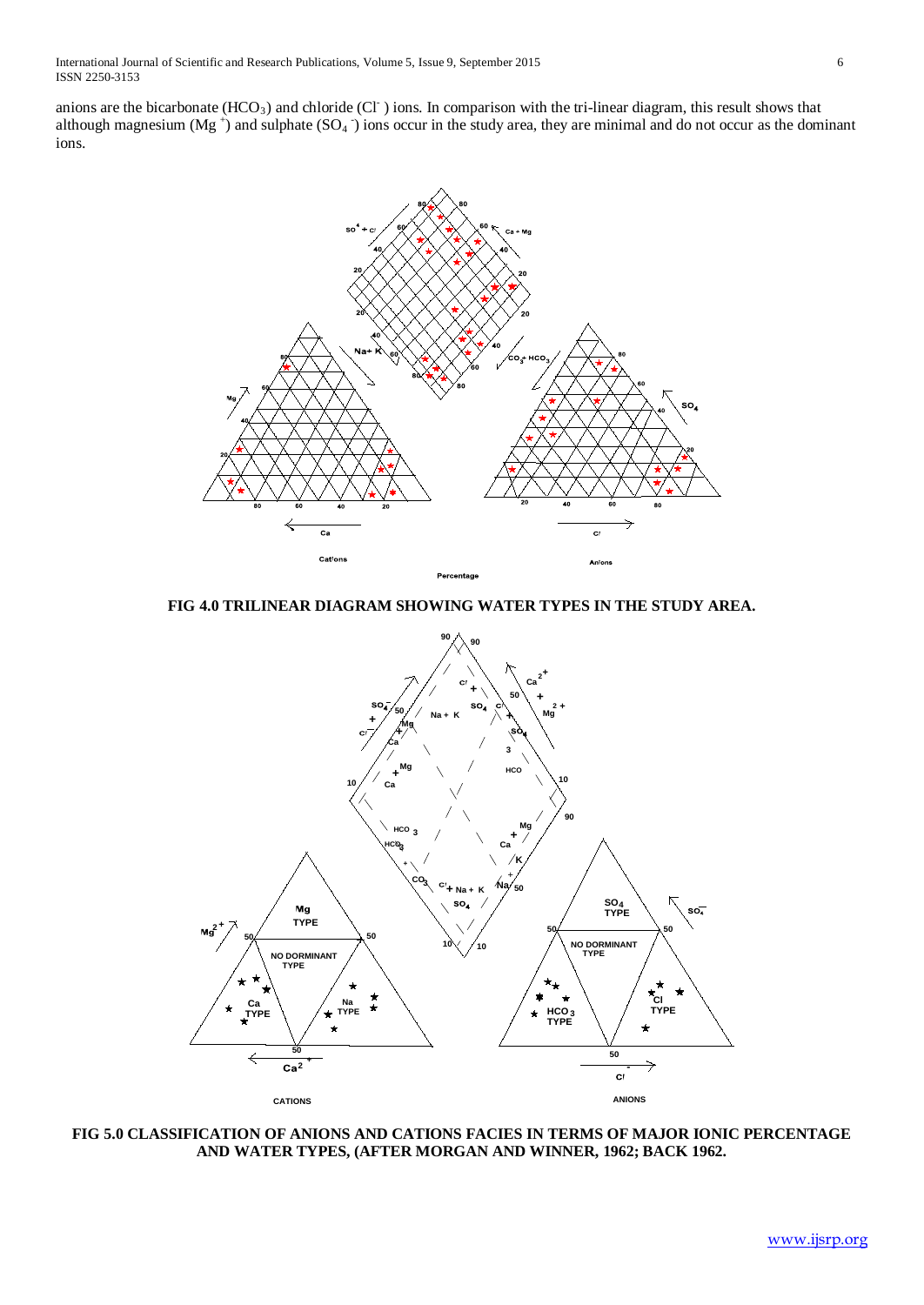anions are the bicarbonate  $(HCO<sub>3</sub>)$  and chloride (Cl ) ions. In comparison with the tri-linear diagram, this result shows that although magnesium (Mg<sup>+</sup>) and sulphate (SO<sub>4</sub>  $\bar{ }$ ) ions occur in the study area, they are minimal and do not occur as the dominant ions.



**FIG 4.0 TRILINEAR DIAGRAM SHOWING WATER TYPES IN THE STUDY AREA.**



**FIG 5.0 CLASSIFICATION OF ANIONS AND CATIONS FACIES IN TERMS OF MAJOR IONIC PERCENTAGE AND WATER TYPES, (AFTER MORGAN AND WINNER, 1962; BACK 1962.**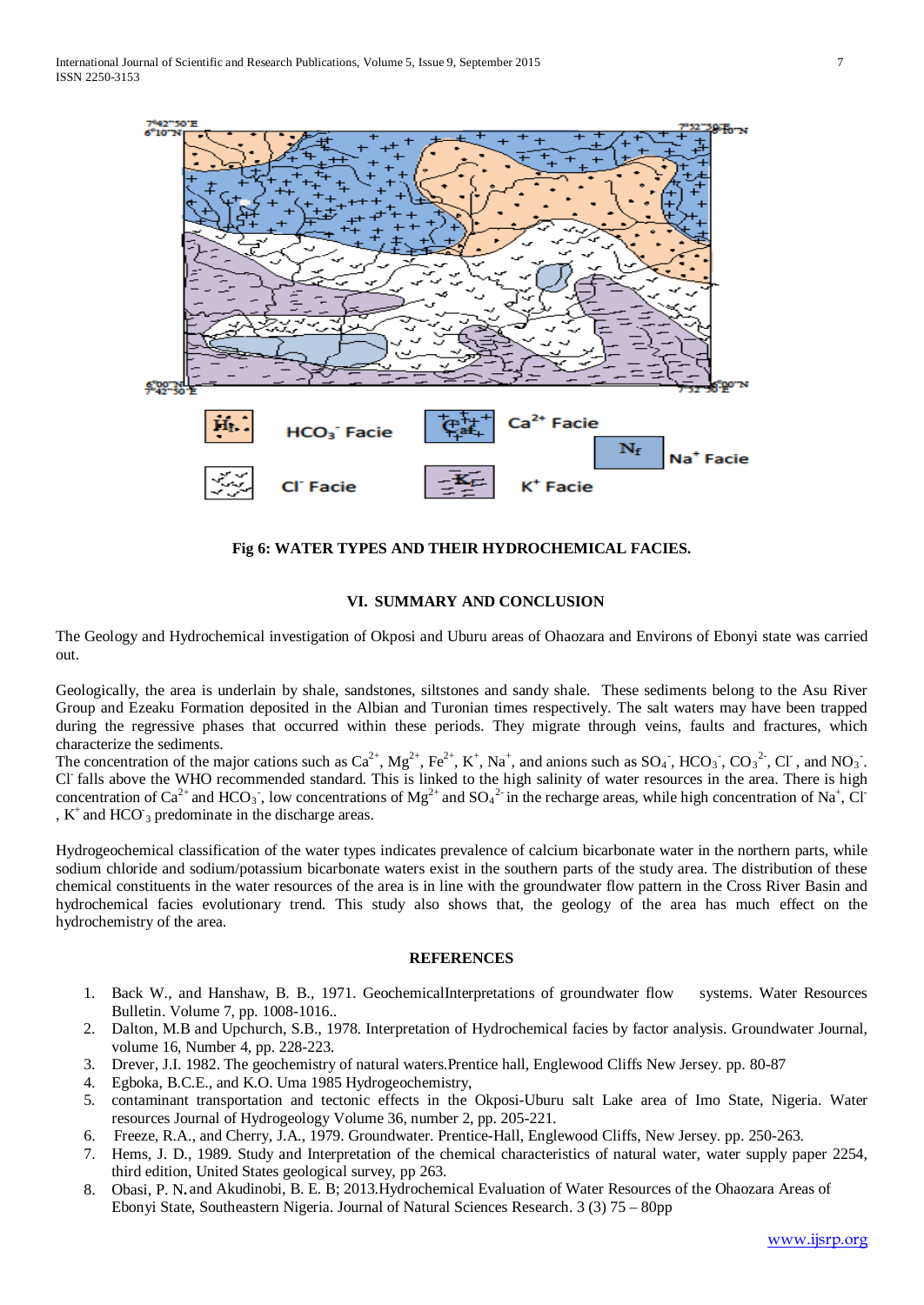

**Fig 6: WATER TYPES AND THEIR HYDROCHEMICAL FACIES.**

#### **VI. SUMMARY AND CONCLUSION**

The Geology and Hydrochemical investigation of Okposi and Uburu areas of Ohaozara and Environs of Ebonyi state was carried out.

Geologically, the area is underlain by shale, sandstones, siltstones and sandy shale. These sediments belong to the Asu River Group and Ezeaku Formation deposited in the Albian and Turonian times respectively. The salt waters may have been trapped during the regressive phases that occurred within these periods. They migrate through veins, faults and fractures, which characterize the sediments.

The concentration of the major cations such as  $Ca^{2+}$ ,  $Mg^{2+}$ ,  $Fe^{2+}$ ,  $K^+$ ,  $Na^+$ , and anions such as  $SO_4$ <sup>-</sup>,  $HCO_3$ <sup>-</sup>,  $CO_3$ <sup>-2</sup>, Cl<sup>-</sup>, and  $NO_3$ <sup>-</sup>. Cl- falls above the WHO recommended standard. This is linked to the high salinity of water resources in the area. There is high concentration of Ca<sup>2+</sup> and HCO<sub>3</sub><sup>-</sup>, low concentrations of Mg<sup>2+</sup> and SO<sub>4</sub><sup>2-</sup> in the recharge areas, while high concentration of Na<sup>+</sup>, Cl<sup>-</sup> ,  $K^+$  and HCO  $_3$  predominate in the discharge areas.

Hydrogeochemical classification of the water types indicates prevalence of calcium bicarbonate water in the northern parts, while sodium chloride and sodium/potassium bicarbonate waters exist in the southern parts of the study area. The distribution of these chemical constituents in the water resources of the area is in line with the groundwater flow pattern in the Cross River Basin and hydrochemical facies evolutionary trend. This study also shows that, the geology of the area has much effect on the hydrochemistry of the area.

#### **REFERENCES**

- 1. Back W., and Hanshaw, B. B., 1971. GeochemicalInterpretations of groundwater flow systems. Water Resources Bulletin. Volume 7, pp. 1008-1016..
- 2. Dalton, M.B and Upchurch, S.B., 1978. Interpretation of Hydrochemical facies by factor analysis. Groundwater Journal, volume 16, Number 4, pp. 228-223.
- 3. Drever, J.I. 1982. The geochemistry of natural waters.Prentice hall, Englewood Cliffs New Jersey. pp. 80-87
- 4. Egboka, B.C.E., and K.O. Uma 1985 Hydrogeochemistry,
- 5. contaminant transportation and tectonic effects in the Okposi-Uburu salt Lake area of Imo State, Nigeria. Water resources Journal of Hydrogeology Volume 36, number 2, pp. 205-221.
- 6. Freeze, R.A., and Cherry, J.A., 1979. Groundwater. Prentice-Hall, Englewood Cliffs, New Jersey. pp. 250-263.
- 7. Hems, J. D., 1989. Study and Interpretation of the chemical characteristics of natural water, water supply paper 2254, third edition, United States geological survey, pp 263.
- 8. Obasi, P. N**.** and Akudinobi, B. E. B; 2013.Hydrochemical Evaluation of Water Resources of the Ohaozara Areas of Ebonyi State, Southeastern Nigeria. Journal of Natural Sciences Research. 3 (3) 75 – 80pp